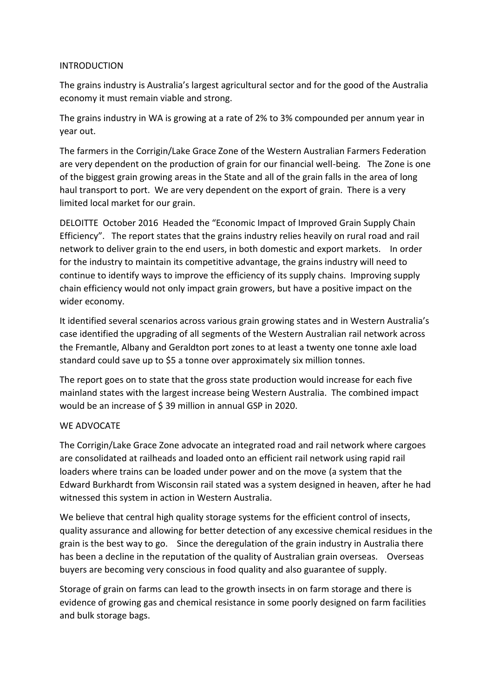## INTRODUCTION

The grains industry is Australia's largest agricultural sector and for the good of the Australia economy it must remain viable and strong.

The grains industry in WA is growing at a rate of 2% to 3% compounded per annum year in year out.

The farmers in the Corrigin/Lake Grace Zone of the Western Australian Farmers Federation are very dependent on the production of grain for our financial well-being. The Zone is one of the biggest grain growing areas in the State and all of the grain falls in the area of long haul transport to port. We are very dependent on the export of grain. There is a very limited local market for our grain.

DELOITTE October 2016 Headed the "Economic Impact of Improved Grain Supply Chain Efficiency". The report states that the grains industry relies heavily on rural road and rail network to deliver grain to the end users, in both domestic and export markets. In order for the industry to maintain its competitive advantage, the grains industry will need to continue to identify ways to improve the efficiency of its supply chains. Improving supply chain efficiency would not only impact grain growers, but have a positive impact on the wider economy.

It identified several scenarios across various grain growing states and in Western Australia's case identified the upgrading of all segments of the Western Australian rail network across the Fremantle, Albany and Geraldton port zones to at least a twenty one tonne axle load standard could save up to \$5 a tonne over approximately six million tonnes.

The report goes on to state that the gross state production would increase for each five mainland states with the largest increase being Western Australia. The combined impact would be an increase of \$ 39 million in annual GSP in 2020.

# WE ADVOCATE

The Corrigin/Lake Grace Zone advocate an integrated road and rail network where cargoes are consolidated at railheads and loaded onto an efficient rail network using rapid rail loaders where trains can be loaded under power and on the move (a system that the Edward Burkhardt from Wisconsin rail stated was a system designed in heaven, after he had witnessed this system in action in Western Australia.

We believe that central high quality storage systems for the efficient control of insects, quality assurance and allowing for better detection of any excessive chemical residues in the grain is the best way to go. Since the deregulation of the grain industry in Australia there has been a decline in the reputation of the quality of Australian grain overseas. Overseas buyers are becoming very conscious in food quality and also guarantee of supply.

Storage of grain on farms can lead to the growth insects in on farm storage and there is evidence of growing gas and chemical resistance in some poorly designed on farm facilities and bulk storage bags.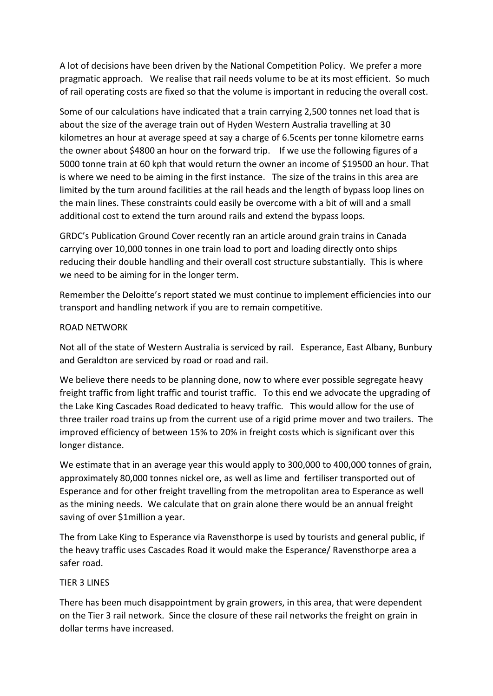A lot of decisions have been driven by the National Competition Policy. We prefer a more pragmatic approach. We realise that rail needs volume to be at its most efficient. So much of rail operating costs are fixed so that the volume is important in reducing the overall cost.

Some of our calculations have indicated that a train carrying 2,500 tonnes net load that is about the size of the average train out of Hyden Western Australia travelling at 30 kilometres an hour at average speed at say a charge of 6.5cents per tonne kilometre earns the owner about \$4800 an hour on the forward trip. If we use the following figures of a 5000 tonne train at 60 kph that would return the owner an income of \$19500 an hour. That is where we need to be aiming in the first instance. The size of the trains in this area are limited by the turn around facilities at the rail heads and the length of bypass loop lines on the main lines. These constraints could easily be overcome with a bit of will and a small additional cost to extend the turn around rails and extend the bypass loops.

GRDC's Publication Ground Cover recently ran an article around grain trains in Canada carrying over 10,000 tonnes in one train load to port and loading directly onto ships reducing their double handling and their overall cost structure substantially. This is where we need to be aiming for in the longer term.

Remember the Deloitte's report stated we must continue to implement efficiencies into our transport and handling network if you are to remain competitive.

#### ROAD NETWORK

Not all of the state of Western Australia is serviced by rail. Esperance, East Albany, Bunbury and Geraldton are serviced by road or road and rail.

We believe there needs to be planning done, now to where ever possible segregate heavy freight traffic from light traffic and tourist traffic. To this end we advocate the upgrading of the Lake King Cascades Road dedicated to heavy traffic. This would allow for the use of three trailer road trains up from the current use of a rigid prime mover and two trailers. The improved efficiency of between 15% to 20% in freight costs which is significant over this longer distance.

We estimate that in an average year this would apply to 300,000 to 400,000 tonnes of grain, approximately 80,000 tonnes nickel ore, as well as lime and fertiliser transported out of Esperance and for other freight travelling from the metropolitan area to Esperance as well as the mining needs. We calculate that on grain alone there would be an annual freight saving of over \$1million a year.

The from Lake King to Esperance via Ravensthorpe is used by tourists and general public, if the heavy traffic uses Cascades Road it would make the Esperance/ Ravensthorpe area a safer road.

#### TIER 3 LINES

There has been much disappointment by grain growers, in this area, that were dependent on the Tier 3 rail network. Since the closure of these rail networks the freight on grain in dollar terms have increased.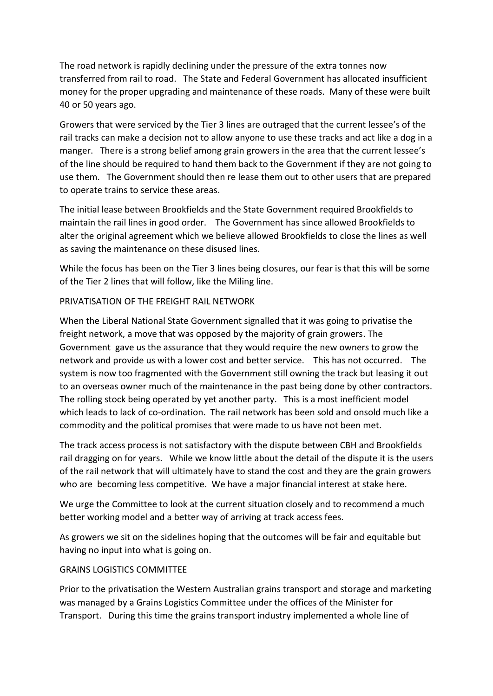The road network is rapidly declining under the pressure of the extra tonnes now transferred from rail to road. The State and Federal Government has allocated insufficient money for the proper upgrading and maintenance of these roads. Many of these were built 40 or 50 years ago.

Growers that were serviced by the Tier 3 lines are outraged that the current lessee's of the rail tracks can make a decision not to allow anyone to use these tracks and act like a dog in a manger. There is a strong belief among grain growers in the area that the current lessee's of the line should be required to hand them back to the Government if they are not going to use them. The Government should then re lease them out to other users that are prepared to operate trains to service these areas.

The initial lease between Brookfields and the State Government required Brookfields to maintain the rail lines in good order. The Government has since allowed Brookfields to alter the original agreement which we believe allowed Brookfields to close the lines as well as saving the maintenance on these disused lines.

While the focus has been on the Tier 3 lines being closures, our fear is that this will be some of the Tier 2 lines that will follow, like the Miling line.

## PRIVATISATION OF THE FREIGHT RAIL NETWORK

When the Liberal National State Government signalled that it was going to privatise the freight network, a move that was opposed by the majority of grain growers. The Government gave us the assurance that they would require the new owners to grow the network and provide us with a lower cost and better service. This has not occurred. The system is now too fragmented with the Government still owning the track but leasing it out to an overseas owner much of the maintenance in the past being done by other contractors. The rolling stock being operated by yet another party. This is a most inefficient model which leads to lack of co-ordination. The rail network has been sold and onsold much like a commodity and the political promises that were made to us have not been met.

The track access process is not satisfactory with the dispute between CBH and Brookfields rail dragging on for years. While we know little about the detail of the dispute it is the users of the rail network that will ultimately have to stand the cost and they are the grain growers who are becoming less competitive. We have a major financial interest at stake here.

We urge the Committee to look at the current situation closely and to recommend a much better working model and a better way of arriving at track access fees.

As growers we sit on the sidelines hoping that the outcomes will be fair and equitable but having no input into what is going on.

#### GRAINS LOGISTICS COMMITTEE

Prior to the privatisation the Western Australian grains transport and storage and marketing was managed by a Grains Logistics Committee under the offices of the Minister for Transport. During this time the grains transport industry implemented a whole line of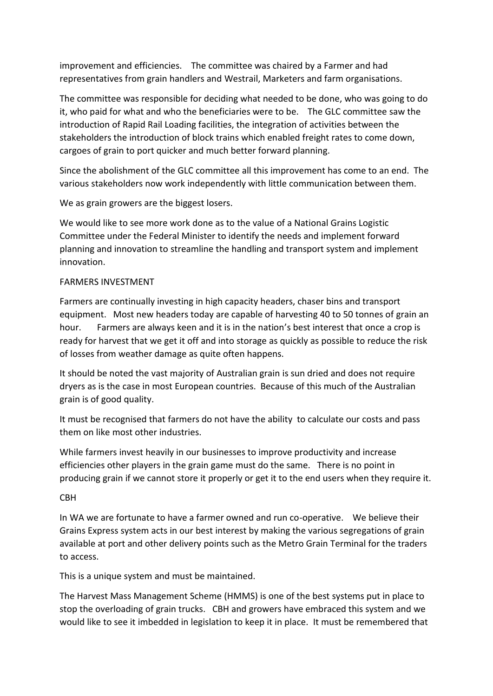improvement and efficiencies. The committee was chaired by a Farmer and had representatives from grain handlers and Westrail, Marketers and farm organisations.

The committee was responsible for deciding what needed to be done, who was going to do it, who paid for what and who the beneficiaries were to be. The GLC committee saw the introduction of Rapid Rail Loading facilities, the integration of activities between the stakeholders the introduction of block trains which enabled freight rates to come down, cargoes of grain to port quicker and much better forward planning.

Since the abolishment of the GLC committee all this improvement has come to an end. The various stakeholders now work independently with little communication between them.

We as grain growers are the biggest losers.

We would like to see more work done as to the value of a National Grains Logistic Committee under the Federal Minister to identify the needs and implement forward planning and innovation to streamline the handling and transport system and implement innovation.

## FARMERS INVESTMENT

Farmers are continually investing in high capacity headers, chaser bins and transport equipment. Most new headers today are capable of harvesting 40 to 50 tonnes of grain an hour. Farmers are always keen and it is in the nation's best interest that once a crop is ready for harvest that we get it off and into storage as quickly as possible to reduce the risk of losses from weather damage as quite often happens.

It should be noted the vast majority of Australian grain is sun dried and does not require dryers as is the case in most European countries. Because of this much of the Australian grain is of good quality.

It must be recognised that farmers do not have the ability to calculate our costs and pass them on like most other industries.

While farmers invest heavily in our businesses to improve productivity and increase efficiencies other players in the grain game must do the same. There is no point in producing grain if we cannot store it properly or get it to the end users when they require it.

#### CBH

In WA we are fortunate to have a farmer owned and run co-operative. We believe their Grains Express system acts in our best interest by making the various segregations of grain available at port and other delivery points such as the Metro Grain Terminal for the traders to access.

This is a unique system and must be maintained.

The Harvest Mass Management Scheme (HMMS) is one of the best systems put in place to stop the overloading of grain trucks. CBH and growers have embraced this system and we would like to see it imbedded in legislation to keep it in place. It must be remembered that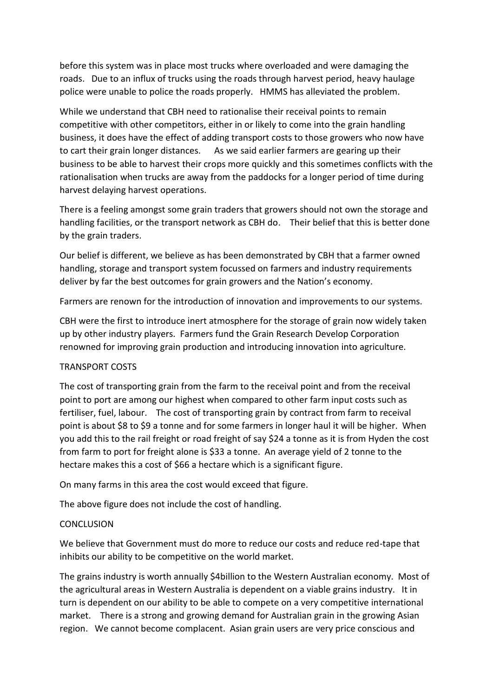before this system was in place most trucks where overloaded and were damaging the roads. Due to an influx of trucks using the roads through harvest period, heavy haulage police were unable to police the roads properly. HMMS has alleviated the problem.

While we understand that CBH need to rationalise their receival points to remain competitive with other competitors, either in or likely to come into the grain handling business, it does have the effect of adding transport costs to those growers who now have to cart their grain longer distances. As we said earlier farmers are gearing up their business to be able to harvest their crops more quickly and this sometimes conflicts with the rationalisation when trucks are away from the paddocks for a longer period of time during harvest delaying harvest operations.

There is a feeling amongst some grain traders that growers should not own the storage and handling facilities, or the transport network as CBH do. Their belief that this is better done by the grain traders.

Our belief is different, we believe as has been demonstrated by CBH that a farmer owned handling, storage and transport system focussed on farmers and industry requirements deliver by far the best outcomes for grain growers and the Nation's economy.

Farmers are renown for the introduction of innovation and improvements to our systems.

CBH were the first to introduce inert atmosphere for the storage of grain now widely taken up by other industry players. Farmers fund the Grain Research Develop Corporation renowned for improving grain production and introducing innovation into agriculture.

# TRANSPORT COSTS

The cost of transporting grain from the farm to the receival point and from the receival point to port are among our highest when compared to other farm input costs such as fertiliser, fuel, labour. The cost of transporting grain by contract from farm to receival point is about \$8 to \$9 a tonne and for some farmers in longer haul it will be higher. When you add this to the rail freight or road freight of say \$24 a tonne as it is from Hyden the cost from farm to port for freight alone is \$33 a tonne. An average yield of 2 tonne to the hectare makes this a cost of \$66 a hectare which is a significant figure.

On many farms in this area the cost would exceed that figure.

The above figure does not include the cost of handling.

#### **CONCLUSION**

We believe that Government must do more to reduce our costs and reduce red-tape that inhibits our ability to be competitive on the world market.

The grains industry is worth annually \$4billion to the Western Australian economy. Most of the agricultural areas in Western Australia is dependent on a viable grains industry. It in turn is dependent on our ability to be able to compete on a very competitive international market. There is a strong and growing demand for Australian grain in the growing Asian region. We cannot become complacent. Asian grain users are very price conscious and